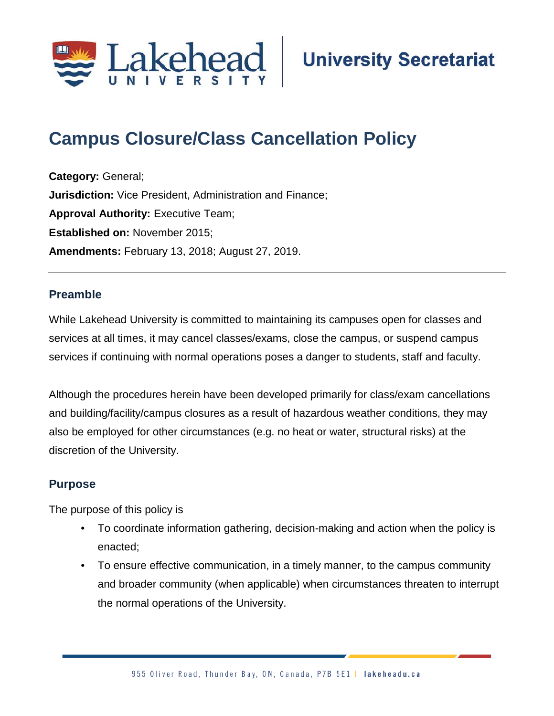

# **Campus Closure/Class Cancellation Policy**

**Category:** General; **Jurisdiction:** Vice President, Administration and Finance; **Approval Authority: Executive Team; Established on:** November 2015; **Amendments:** February 13, 2018; August 27, 2019.

# **Preamble**

While Lakehead University is committed to maintaining its campuses open for classes and services at all times, it may cancel classes/exams, close the campus, or suspend campus services if continuing with normal operations poses a danger to students, staff and faculty.

Although the procedures herein have been developed primarily for class/exam cancellations and building/facility/campus closures as a result of hazardous weather conditions, they may also be employed for other circumstances (e.g. no heat or water, structural risks) at the discretion of the University.

# **Purpose**

The purpose of this policy is

- To coordinate information gathering, decision-making and action when the policy is enacted;
- To ensure effective communication, in a timely manner, to the campus community and broader community (when applicable) when circumstances threaten to interrupt the normal operations of the University.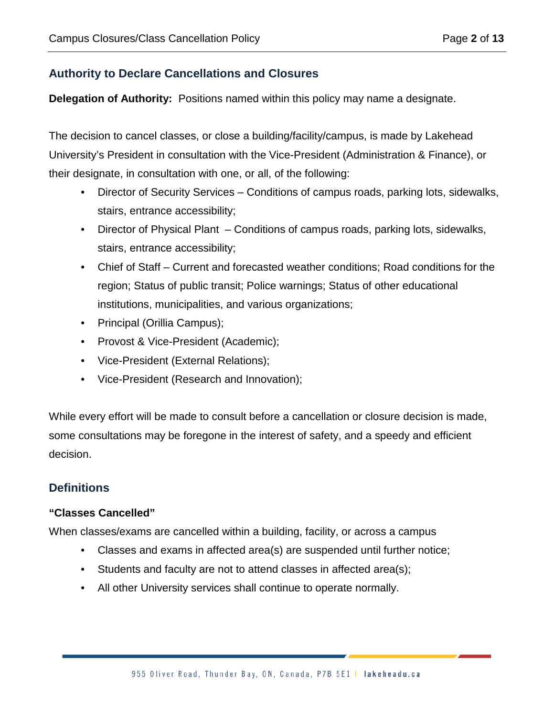# **Authority to Declare Cancellations and Closures**

**Delegation of Authority:** Positions named within this policy may name a designate.

The decision to cancel classes, or close a building/facility/campus, is made by Lakehead University's President in consultation with the Vice-President (Administration & Finance), or their designate, in consultation with one, or all, of the following:

- Director of Security Services Conditions of campus roads, parking lots, sidewalks, stairs, entrance accessibility;
- Director of Physical Plant Conditions of campus roads, parking lots, sidewalks, stairs, entrance accessibility;
- Chief of Staff Current and forecasted weather conditions; Road conditions for the region; Status of public transit; Police warnings; Status of other educational institutions, municipalities, and various organizations;
- Principal (Orillia Campus);
- Provost & Vice-President (Academic);
- Vice-President (External Relations);
- Vice-President (Research and Innovation);

While every effort will be made to consult before a cancellation or closure decision is made, some consultations may be foregone in the interest of safety, and a speedy and efficient decision.

# **Definitions**

# **"Classes Cancelled"**

When classes/exams are cancelled within a building, facility, or across a campus

- Classes and exams in affected area(s) are suspended until further notice;
- Students and faculty are not to attend classes in affected area(s);
- All other University services shall continue to operate normally.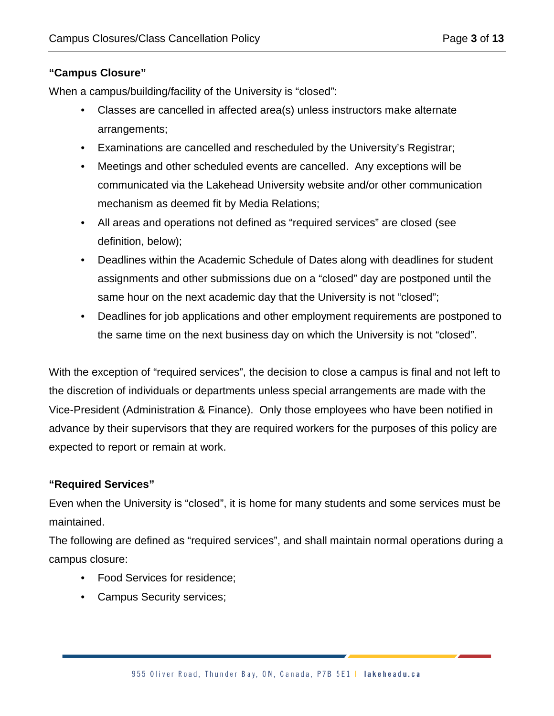# **"Campus Closure"**

When a campus/building/facility of the University is "closed":

- Classes are cancelled in affected area(s) unless instructors make alternate arrangements;
- Examinations are cancelled and rescheduled by the University's Registrar;
- Meetings and other scheduled events are cancelled. Any exceptions will be communicated via the Lakehead University website and/or other communication mechanism as deemed fit by Media Relations;
- All areas and operations not defined as "required services" are closed (see definition, below);
- Deadlines within the Academic Schedule of Dates along with deadlines for student assignments and other submissions due on a "closed" day are postponed until the same hour on the next academic day that the University is not "closed";
- Deadlines for job applications and other employment requirements are postponed to the same time on the next business day on which the University is not "closed".

With the exception of "required services", the decision to close a campus is final and not left to the discretion of individuals or departments unless special arrangements are made with the Vice-President (Administration & Finance). Only those employees who have been notified in advance by their supervisors that they are required workers for the purposes of this policy are expected to report or remain at work.

#### **"Required Services"**

Even when the University is "closed", it is home for many students and some services must be maintained.

The following are defined as "required services", and shall maintain normal operations during a campus closure:

- Food Services for residence;
- Campus Security services;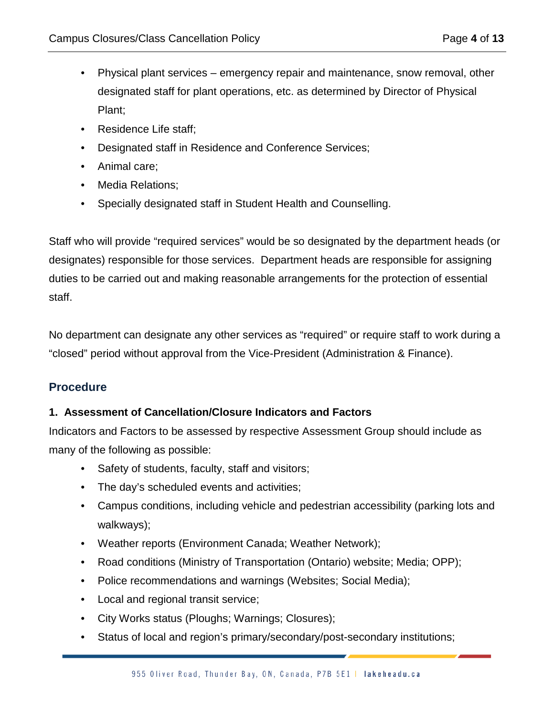- Physical plant services emergency repair and maintenance, snow removal, other designated staff for plant operations, etc. as determined by Director of Physical Plant;
- Residence Life staff;
- Designated staff in Residence and Conference Services;
- Animal care;
- Media Relations;
- Specially designated staff in Student Health and Counselling.

Staff who will provide "required services" would be so designated by the department heads (or designates) responsible for those services. Department heads are responsible for assigning duties to be carried out and making reasonable arrangements for the protection of essential staff.

No department can designate any other services as "required" or require staff to work during a "closed" period without approval from the Vice-President (Administration & Finance).

# **Procedure**

#### **1. Assessment of Cancellation/Closure Indicators and Factors**

Indicators and Factors to be assessed by respective Assessment Group should include as many of the following as possible:

- Safety of students, faculty, staff and visitors;
- The day's scheduled events and activities;
- Campus conditions, including vehicle and pedestrian accessibility (parking lots and walkways);
- Weather reports (Environment Canada; Weather Network);
- Road conditions (Ministry of Transportation (Ontario) website; Media; OPP);
- Police recommendations and warnings (Websites; Social Media);
- Local and regional transit service;
- City Works status (Ploughs; Warnings; Closures);
- Status of local and region's primary/secondary/post-secondary institutions;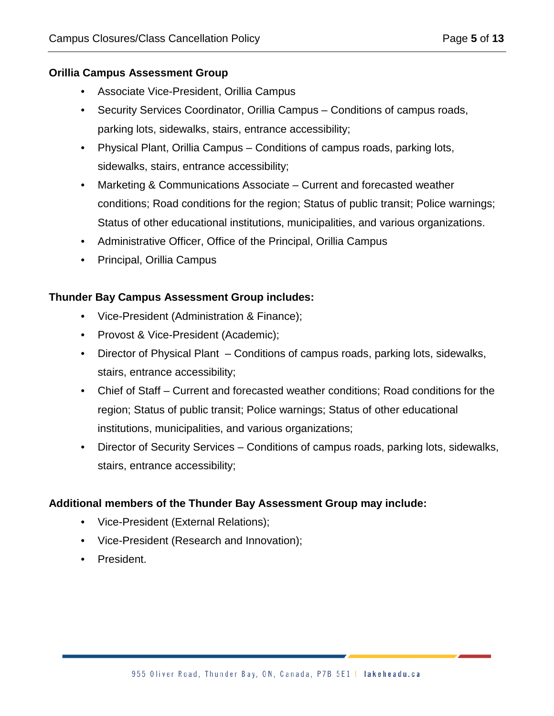#### **Orillia Campus Assessment Group**

- Associate Vice-President, Orillia Campus
- Security Services Coordinator, Orillia Campus Conditions of campus roads, parking lots, sidewalks, stairs, entrance accessibility;
- Physical Plant, Orillia Campus Conditions of campus roads, parking lots, sidewalks, stairs, entrance accessibility;
- Marketing & Communications Associate Current and forecasted weather conditions; Road conditions for the region; Status of public transit; Police warnings; Status of other educational institutions, municipalities, and various organizations.
- Administrative Officer, Office of the Principal, Orillia Campus
- Principal, Orillia Campus

#### **Thunder Bay Campus Assessment Group includes:**

- Vice-President (Administration & Finance);
- Provost & Vice-President (Academic);
- Director of Physical Plant Conditions of campus roads, parking lots, sidewalks, stairs, entrance accessibility;
- Chief of Staff Current and forecasted weather conditions; Road conditions for the region; Status of public transit; Police warnings; Status of other educational institutions, municipalities, and various organizations;
- Director of Security Services Conditions of campus roads, parking lots, sidewalks, stairs, entrance accessibility;

# **Additional members of the Thunder Bay Assessment Group may include:**

- Vice-President (External Relations);
- Vice-President (Research and Innovation);
- President.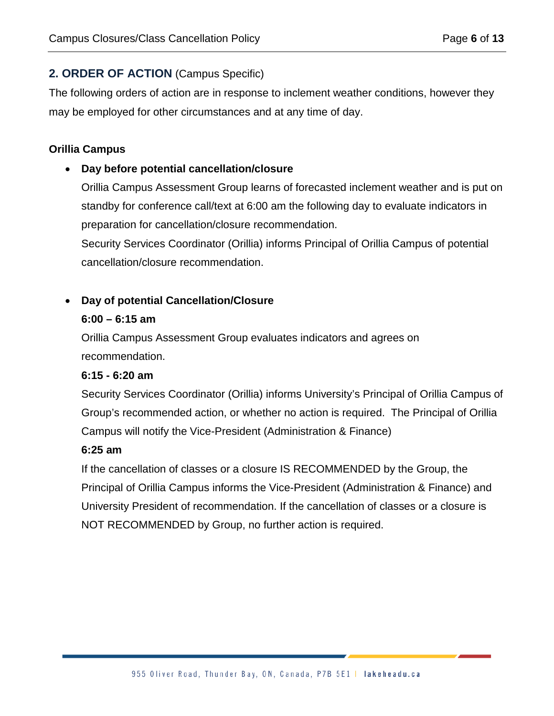# **2. ORDER OF ACTION** (Campus Specific)

The following orders of action are in response to inclement weather conditions, however they may be employed for other circumstances and at any time of day.

### **Orillia Campus**

### • **Day before potential cancellation/closure**

Orillia Campus Assessment Group learns of forecasted inclement weather and is put on standby for conference call/text at 6:00 am the following day to evaluate indicators in preparation for cancellation/closure recommendation.

Security Services Coordinator (Orillia) informs Principal of Orillia Campus of potential cancellation/closure recommendation.

# • **Day of potential Cancellation/Closure**

#### **6:00 – 6:15 am**

Orillia Campus Assessment Group evaluates indicators and agrees on recommendation.

#### **6:15 - 6:20 am**

Security Services Coordinator (Orillia) informs University's Principal of Orillia Campus of Group's recommended action, or whether no action is required. The Principal of Orillia Campus will notify the Vice-President (Administration & Finance)

#### **6:25 am**

If the cancellation of classes or a closure IS RECOMMENDED by the Group, the Principal of Orillia Campus informs the Vice-President (Administration & Finance) and University President of recommendation. If the cancellation of classes or a closure is NOT RECOMMENDED by Group, no further action is required.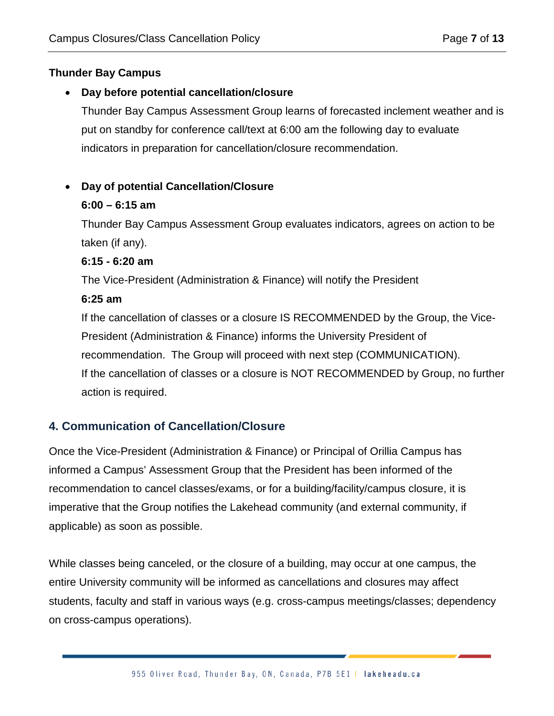# **Thunder Bay Campus**

#### • **Day before potential cancellation/closure**

Thunder Bay Campus Assessment Group learns of forecasted inclement weather and is put on standby for conference call/text at 6:00 am the following day to evaluate indicators in preparation for cancellation/closure recommendation.

# • **Day of potential Cancellation/Closure**

#### **6:00 – 6:15 am**

Thunder Bay Campus Assessment Group evaluates indicators, agrees on action to be taken (if any).

#### **6:15 - 6:20 am**

The Vice-President (Administration & Finance) will notify the President

#### **6:25 am**

If the cancellation of classes or a closure IS RECOMMENDED by the Group, the Vice-President (Administration & Finance) informs the University President of recommendation. The Group will proceed with next step (COMMUNICATION). If the cancellation of classes or a closure is NOT RECOMMENDED by Group, no further action is required.

# **4. Communication of Cancellation/Closure**

Once the Vice-President (Administration & Finance) or Principal of Orillia Campus has informed a Campus' Assessment Group that the President has been informed of the recommendation to cancel classes/exams, or for a building/facility/campus closure, it is imperative that the Group notifies the Lakehead community (and external community, if applicable) as soon as possible.

While classes being canceled, or the closure of a building, may occur at one campus, the entire University community will be informed as cancellations and closures may affect students, faculty and staff in various ways (e.g. cross-campus meetings/classes; dependency on cross-campus operations).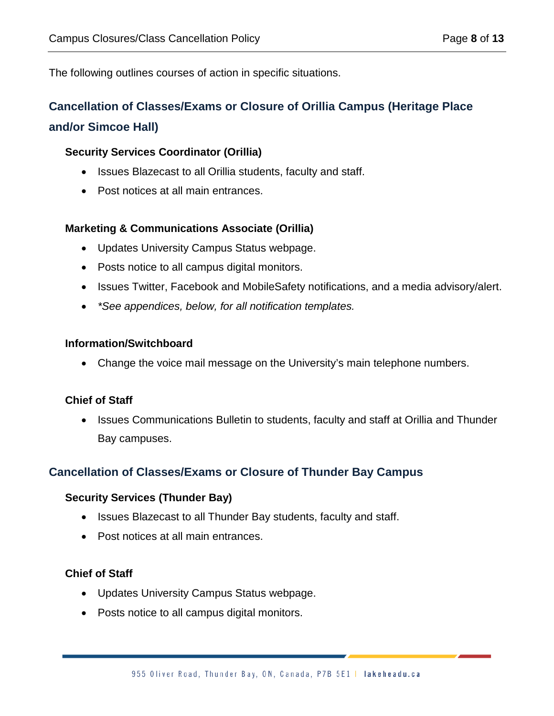The following outlines courses of action in specific situations.

# **Cancellation of Classes/Exams or Closure of Orillia Campus (Heritage Place and/or Simcoe Hall)**

### **Security Services Coordinator (Orillia)**

- Issues Blazecast to all Orillia students, faculty and staff.
- Post notices at all main entrances.

#### **Marketing & Communications Associate (Orillia)**

- Updates University Campus Status webpage.
- Posts notice to all campus digital monitors.
- Issues Twitter, Facebook and MobileSafety notifications, and a media advisory/alert.
- *\*See appendices, below, for all notification templates.*

#### **Information/Switchboard**

• Change the voice mail message on the University's main telephone numbers.

#### **Chief of Staff**

• Issues Communications Bulletin to students, faculty and staff at Orillia and Thunder Bay campuses.

# **Cancellation of Classes/Exams or Closure of Thunder Bay Campus**

#### **Security Services (Thunder Bay)**

- Issues Blazecast to all Thunder Bay students, faculty and staff.
- Post notices at all main entrances.

#### **Chief of Staff**

- Updates University Campus Status webpage.
- Posts notice to all campus digital monitors.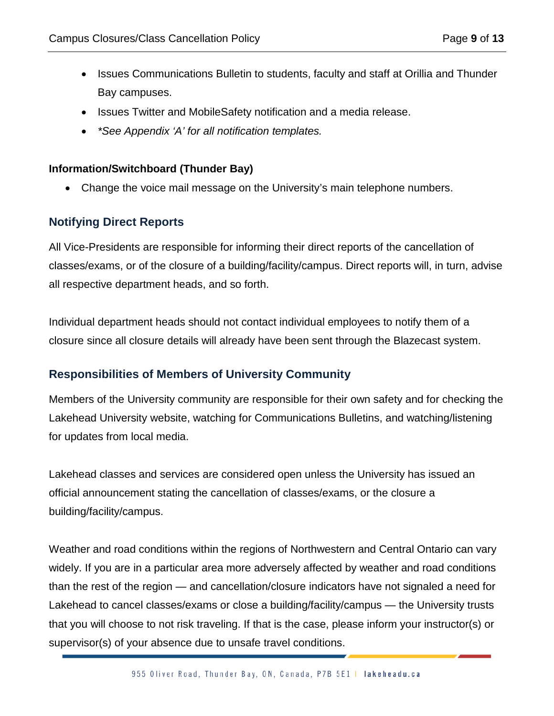- Issues Communications Bulletin to students, faculty and staff at Orillia and Thunder Bay campuses.
- Issues Twitter and MobileSafety notification and a media release.
- *\*See Appendix 'A' for all notification templates.*

#### **Information/Switchboard (Thunder Bay)**

• Change the voice mail message on the University's main telephone numbers.

# **Notifying Direct Reports**

All Vice-Presidents are responsible for informing their direct reports of the cancellation of classes/exams, or of the closure of a building/facility/campus. Direct reports will, in turn, advise all respective department heads, and so forth.

Individual department heads should not contact individual employees to notify them of a closure since all closure details will already have been sent through the Blazecast system.

# **Responsibilities of Members of University Community**

Members of the University community are responsible for their own safety and for checking the Lakehead University website, watching for Communications Bulletins, and watching/listening for updates from local media.

Lakehead classes and services are considered open unless the University has issued an official announcement stating the cancellation of classes/exams, or the closure a building/facility/campus.

Weather and road conditions within the regions of Northwestern and Central Ontario can vary widely. If you are in a particular area more adversely affected by weather and road conditions than the rest of the region — and cancellation/closure indicators have not signaled a need for Lakehead to cancel classes/exams or close a building/facility/campus — the University trusts that you will choose to not risk traveling. If that is the case, please inform your instructor(s) or supervisor(s) of your absence due to unsafe travel conditions.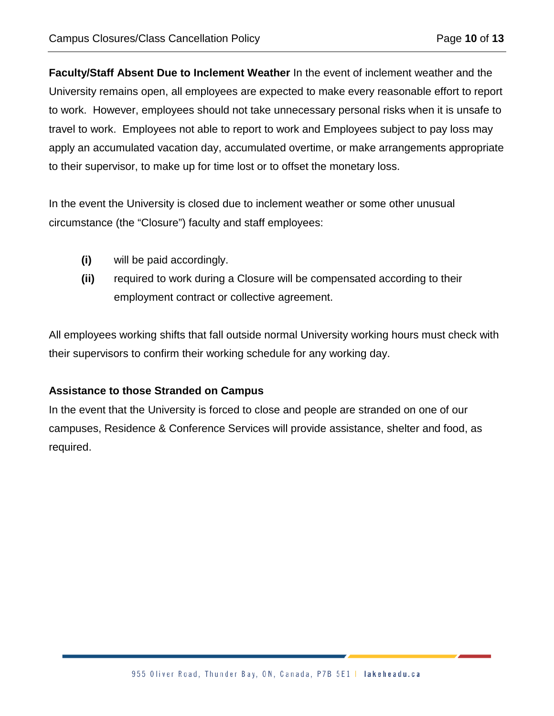**Faculty/Staff Absent Due to Inclement Weather** In the event of inclement weather and the University remains open, all employees are expected to make every reasonable effort to report to work. However, employees should not take unnecessary personal risks when it is unsafe to travel to work. Employees not able to report to work and Employees subject to pay loss may apply an accumulated vacation day, accumulated overtime, or make arrangements appropriate to their supervisor, to make up for time lost or to offset the monetary loss.

In the event the University is closed due to inclement weather or some other unusual circumstance (the "Closure") faculty and staff employees:

- **(i)** will be paid accordingly.
- **(ii)** required to work during a Closure will be compensated according to their employment contract or collective agreement.

All employees working shifts that fall outside normal University working hours must check with their supervisors to confirm their working schedule for any working day.

#### **Assistance to those Stranded on Campus**

In the event that the University is forced to close and people are stranded on one of our campuses, Residence & Conference Services will provide assistance, shelter and food, as required.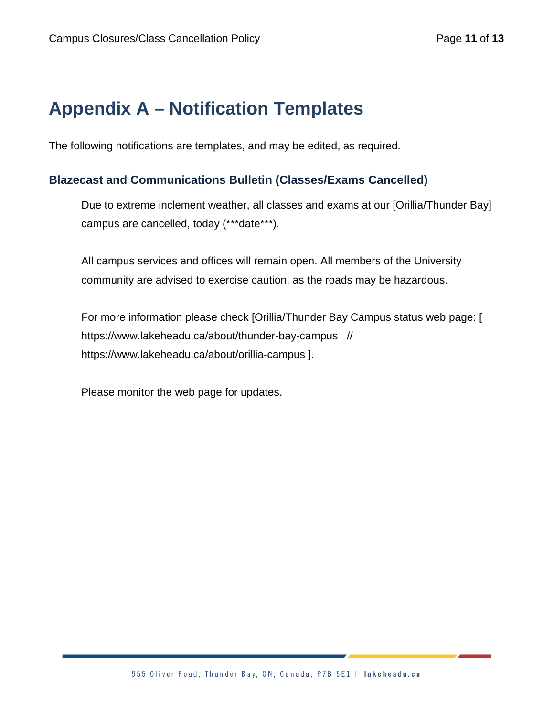# **Appendix A – Notification Templates**

The following notifications are templates, and may be edited, as required.

# **Blazecast and Communications Bulletin (Classes/Exams Cancelled)**

Due to extreme inclement weather, all classes and exams at our [Orillia/Thunder Bay] campus are cancelled, today (\*\*\*date\*\*\*).

All campus services and offices will remain open. All members of the University community are advised to exercise caution, as the roads may be hazardous.

For more information please check [Orillia/Thunder Bay Campus status web page: [ https://www.lakeheadu.ca/about/thunder-bay-campus // https://www.lakeheadu.ca/about/orillia-campus ].

Please monitor the web page for updates.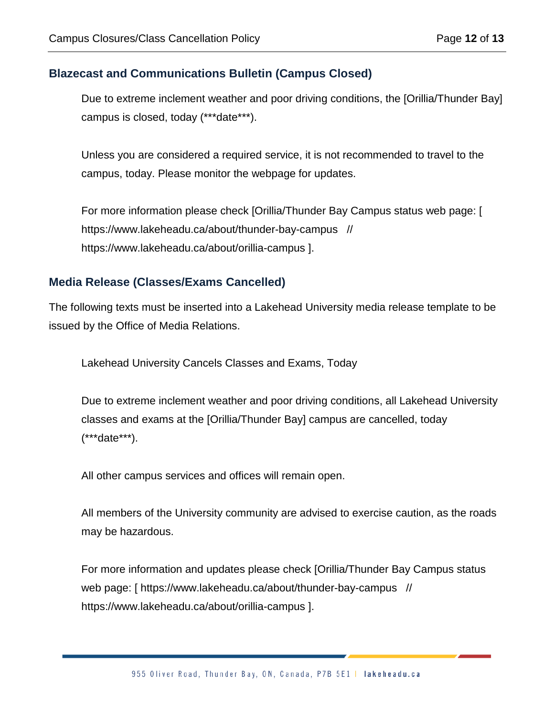# **Blazecast and Communications Bulletin (Campus Closed)**

Due to extreme inclement weather and poor driving conditions, the [Orillia/Thunder Bay] campus is closed, today (\*\*\*date\*\*\*).

Unless you are considered a required service, it is not recommended to travel to the campus, today. Please monitor the webpage for updates.

For more information please check [Orillia/Thunder Bay Campus status web page: [ https://www.lakeheadu.ca/about/thunder-bay-campus // https://www.lakeheadu.ca/about/orillia-campus ].

#### **Media Release (Classes/Exams Cancelled)**

The following texts must be inserted into a Lakehead University media release template to be issued by the Office of Media Relations.

Lakehead University Cancels Classes and Exams, Today

Due to extreme inclement weather and poor driving conditions, all Lakehead University classes and exams at the [Orillia/Thunder Bay] campus are cancelled, today (\*\*\*date\*\*\*).

All other campus services and offices will remain open.

All members of the University community are advised to exercise caution, as the roads may be hazardous.

For more information and updates please check [Orillia/Thunder Bay Campus status web page: [ https://www.lakeheadu.ca/about/thunder-bay-campus // https://www.lakeheadu.ca/about/orillia-campus ].